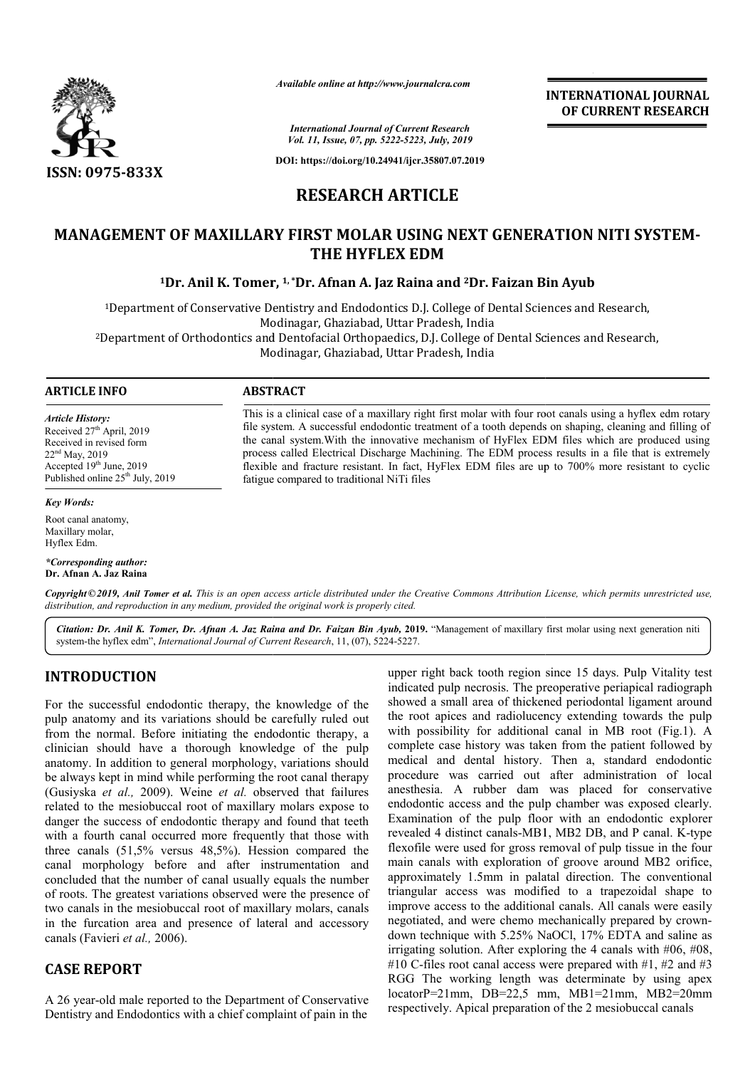

*Available online at http://www.journalcra.com*

**INTERNATIONAL JOURNAL OF CURRENT RESEARCH**

*International Journal of Current Research Vol. 11, Issue, 07, pp. 5222-5223, July, 2019*

**DOI: https://doi.org/10.24941/ijcr.35807.07.2019**

# **RESEARCH ARTICLE**

# MANAGEMENT OF MAXILLARY FIRST MOLAR USING NEXT GENERATION NITI SYSTEM-**THE HYFLEX EDM**

## **1Dr. Anil K. Tomer, Dr. 1, \*Dr. Afnan A. Jaz Raina and 2Dr. Faizan Bin Ayub**

<sup>1</sup>Department of Conservative Dentistry and Endodontics D.J. College of Dental Sciences and Research, Modinagar, Ghaziabad, Uttar Pradesh, India 2Department of Orthodontics and Dentofacial Orthopaedics, D.J. College of Dental Sciences and Research,

Modinagar, Ghaziabad, Uttar Pradesh, India

#### **ARTICLE INFO ABSTRACT**

*Article History:* Received 27<sup>th</sup> April, 2019 Received in revised form 22nd May, 2019 Accepted 19th June, 2019 Published online  $25<sup>th</sup>$  July, 2019

This is a clinical case of a maxillary right first molar with four root canals using a hyflex edm rotary file system. A successful endodontic treatment of a tooth depends on shaping, cleaning and filling of file system. A successful endodontic treatment of a tooth depends on shaping, cleaning and filling of the canal system. With the innovative mechanism of HyFlex EDM files which are produced using process called Electrical Discharge Machining. The EDM process results in a file that is extremely process called Electrical Discharge Machining. The EDM process results in a file that is extremely flexible and fracture resistant. In fact, HyFlex EDM files are up to 700% more resistant to cyclic fatigue compared to traditional NiTi files

*Key Words:*

Root canal anatomy, Maxillary molar, Hyflex Edm.

*\*Corresponding author:*  **Dr. Afnan A. Jaz Raina**

Copyright © 2019, Anil Tomer et al. This is an open access article distributed under the Creative Commons Attribution License, which permits unrestricted use, *distribution, and reproduction in any medium, provided the original work is properly cited.*

Citation: Dr. Anil K. Tomer, Dr. Afnan A. Jaz Raina and Dr. Faizan Bin Ayub, 2019. "Management of maxillary first molar using next generation niti system-the hyflex edm", *International Journal of Current Research* , 11, (07), 5224-5227.

## **INTRODUCTION**

For the successful endodontic therapy, the knowledge of the pulp anatomy and its variations should be carefully ruled out from the normal. Before initiating the endodontic therapy, a clinician should have a thorough knowledge of the pulp anatomy. In addition to general morphology, variations should be always kept in mind while performing the root canal therapy (Gusiyska *et al.,* 2009). Weine *et al.* observed that failures related to the mesiobuccal root of maxillary molars expose to danger the success of endodontic therapy and found that teeth with a fourth canal occurred more frequently that those with three canals (51,5% versus 48,5%). Hession compared the canal morphology before and after instrumentation and danger the success of endodontic therapy and found that teeth<br>with a fourth canal occurred more frequently that those with<br>three canals (51,5% versus 48,5%). Hession compared the<br>canal morphology before and after instrumen of roots. The greatest variations observed were the presence of two canals in the mesiobuccal root of maxillary molars, canals in the furcation area and presence of lateral and accessory canals (Favieri *et al.,* 2006).

# **CASE REPORT**

A 26 year-old male reported to the Department of Conservative Dentistry and Endodontics with a chief complaint of pain in the

upper right back tooth region since 15 days. Pulp Vitality test indicated pulp necrosis. The preoperative periapical radiograph showed a small area of thickened periodontal ligament around the root apices and radiolucency extending towards the pulp with possibility for additional canal in MB root (Fig.1). A complete case history was taken from the patient followed by complete case history was taken from the patient followed by medical and dental history. Then a, standard endodontic procedure was carried out after administration of local anesthesia. A rubber dam was placed for conservative endodontic access and the pulp chamber was exposed clearly. Examination of the pulp floor with an endodontic explorer anesthesia. A rubber dam was placed for conservative endodontic access and the pulp chamber was exposed clearly.<br>Examination of the pulp floor with an endodontic explorer revealed 4 distinct canals-MB1, MB2 DB, and P canal flexofile were used for gross removal of pulp tissue in the four flexofile were used for gross removal of pulp tissue in the four main canals with exploration of groove around MB2 orifice, approximately 1.5mm in palatal direction. The conventional triangular access was modified to a trapezoidal shape to improve access to the additional canals. All canals were easily negotiated, and were chemo mechanically prepared by crown down technique with 5.25% NaOCl, 17% EDTA and saline as down technique with 5.25% NaOCl, 17% EDTA and saline as irrigating solution. After exploring the 4 canals with #06, #08, #10 C-files root canal access were prepared with  $#1, #2$  and  $#3$ RGG The working length was determinate by using apex locatorP=21mm, DB=22,5 mm, MB1=21mm, MB2=20mm respectively. Apical preparation of the 2 mesiobuccal canals pulp necrosis. The preoperative periapical radiograph<br>small area of thickened periodontal ligament around<br>apices and radiolucency extending towards the pulp<br>sibility for additional canal in MB root (Fig.1). A r access was modified to a trapezoidal shape to access to the additional canals. All canals were easily d, and were chemo mechanically prepared by crown-**EXERVATIONAL JOURNAL TOWAL FORMAL POWAL JOURNAL FORMAL DOURNAL TOURNAL TOURNEM (CONTRENT RESEARCH CONTRENT RESEARCH CONTRENT AND**  $\mu$  **and**  $\mu$  **and**  $\mu$  **and**  $\mu$  **and**  $\mu$  **and**  $\mu$  **and**  $\mu$  **and**  $\mu$  **and**  $\mu$  **and**  $\mu$  **and**